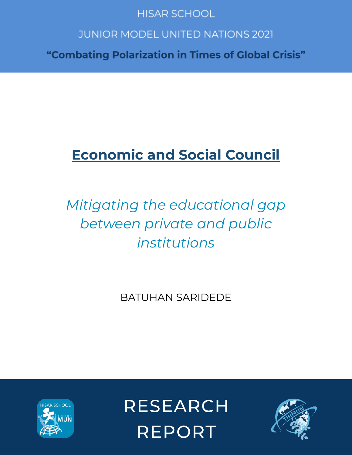# **HISAR SCHOOL**

# **JUNIOR MODEL UNITED NATIONS 2021**

"Combating Polarization in Times of Global Crisis"

# **Economic and Social Council**

# *Mitigating the educational gap between private and public institutions*

BATUHAN SARIDEDE



**RESEARCH REPORT** 

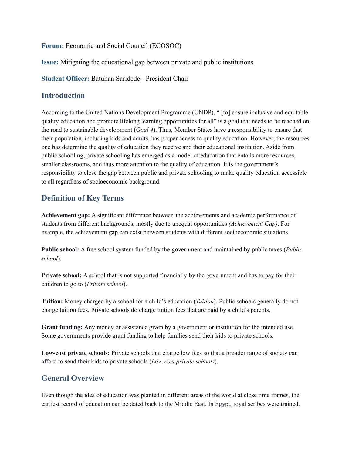**Forum:** Economic and Social Council (ECOSOC)

**Issue:** Mitigating the educational gap between private and public institutions

**Student Officer:** Batuhan Sarıdede - President Chair

#### **Introduction**

According to the United Nations Development Programme (UNDP), " [to] ensure inclusive and equitable quality education and promote lifelong learning opportunities for all" is a goal that needs to be reached on the road to sustainable development (*Goal 4*). Thus, Member States have a responsibility to ensure that their population, including kids and adults, has proper access to quality education. However, the resources one has determine the quality of education they receive and their educational institution. Aside from public schooling, private schooling has emerged as a model of education that entails more resources, smaller classrooms, and thus more attention to the quality of education. It is the government's responsibility to close the gap between public and private schooling to make quality education accessible to all regardless of socioeconomic background.

# **Definition of Key Terms**

**Achievement gap:** A significant difference between the achievements and academic performance of students from different backgrounds, mostly due to unequal opportunities *(Achievement Gap)*. For example, the achievement gap can exist between students with different socioeconomic situations.

**Public school:** A free school system funded by the government and maintained by public taxes (*Public school*).

**Private school:** A school that is not supported financially by the government and has to pay for their children to go to (*Private school*).

**Tuition:** Money charged by a school for a child's education (*Tuition*). Public schools generally do not charge tuition fees. Private schools do charge tuition fees that are paid by a child's parents.

**Grant funding:** Any money or assistance given by a government or institution for the intended use. Some governments provide grant funding to help families send their kids to private schools.

**Low-cost private schools:** Private schools that charge low fees so that a broader range of society can afford to send their kids to private schools (*Low-cost private schools*).

# **General Overview**

Even though the idea of education was planted in different areas of the world at close time frames, the earliest record of education can be dated back to the Middle East. In Egypt, royal scribes were trained.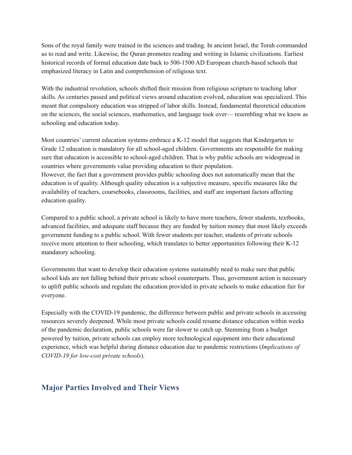Sons of the royal family were trained in the sciences and trading. In ancient Israel, the Torah commanded us to read and write. Likewise, the Quran promotes reading and writing in Islamic civilizations. Earliest historical records of formal education date back to 500-1500 AD European church-based schools that emphasized literacy in Latin and comprehension of religious text.

With the industrial revolution, schools shifted their mission from religious scripture to teaching labor skills. As centuries passed and political views around education evolved, education was specialized. This meant that compulsory education was stripped of labor skills. Instead, fundamental theoretical education on the sciences, the social sciences, mathematics, and language took over— resembling what we know as schooling and education today.

Most countries' current education systems embrace a K-12 model that suggests that Kindergarten to Grade 12 education is mandatory for all school-aged children. Governments are responsible for making sure that education is accessible to school-aged children. That is why public schools are widespread in countries where governments value providing education to their population. However, the fact that a government provides public schooling does not automatically mean that the education is of quality. Although quality education is a subjective measure, specific measures like the availability of teachers, coursebooks, classrooms, facilities, and staff are important factors affecting education quality.

Compared to a public school, a private school is likely to have more teachers, fewer students, textbooks, advanced facilities, and adequate staff because they are funded by tuition money that most likely exceeds government funding to a public school. With fewer students per teacher, students of private schools receive more attention to their schooling, which translates to better opportunities following their K-12 mandatory schooling.

Governments that want to develop their education systems sustainably need to make sure that public school kids are not falling behind their private school counterparts. Thus, government action is necessary to uplift public schools and regulate the education provided in private schools to make education fair for everyone.

Especially with the COVID-19 pandemic, the difference between public and private schools in accessing resources severely deepened. While most private schools could resume distance education within weeks of the pandemic declaration, public schools were far slower to catch up. Stemming from a budget powered by tuition, private schools can employ more technological equipment into their educational experience, which was helpful during distance education due to pandemic restrictions (*Implications of COVID-19 for low-cost private schools*).

#### **Major Parties Involved and Their Views**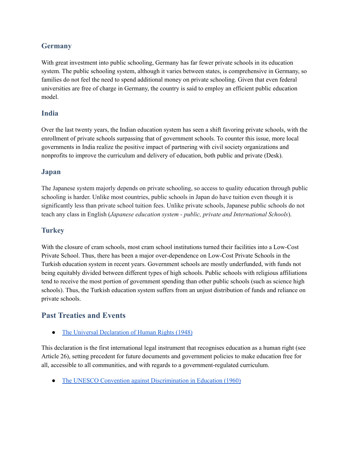### **Germany**

With great investment into public schooling, Germany has far fewer private schools in its education system. The public schooling system, although it varies between states, is comprehensive in Germany, so families do not feel the need to spend additional money on private schooling. Given that even federal universities are free of charge in Germany, the country is said to employ an efficient public education model.

#### **India**

Over the last twenty years, the Indian education system has seen a shift favoring private schools, with the enrollment of private schools surpassing that of government schools. To counter this issue, more local governments in India realize the positive impact of partnering with civil society organizations and nonprofits to improve the curriculum and delivery of education, both public and private (Desk).

#### **Japan**

The Japanese system majorly depends on private schooling, so access to quality education through public schooling is harder. Unlike most countries, public schools in Japan do have tuition even though it is significantly less than private school tuition fees. Unlike private schools, Japanese public schools do not teach any class in English (*Japanese education system - public, private and International Schools*).

#### **Turkey**

With the closure of cram schools, most cram school institutions turned their facilities into a Low-Cost Private School. Thus, there has been a major over-dependence on Low-Cost Private Schools in the Turkish education system in recent years. Government schools are mostly underfunded, with funds not being equitably divided between different types of high schools. Public schools with religious affiliations tend to receive the most portion of government spending than other public schools (such as science high schools). Thus, the Turkish education system suffers from an unjust distribution of funds and reliance on private schools.

# **Past Treaties and Events**

• The Universal [Declaration](https://www.un.org/en/about-us/universal-declaration-of-human-rights) of Human Rights (1948)

This declaration is the first international legal instrument that recognises education as a human right (see Article 26), setting precedent for future documents and government policies to make education free for all, accessible to all communities, and with regards to a government-regulated curriculum.

• The UNESCO Convention against [Discrimination](https://adsdatabase.ohchr.org/IssueLibrary/UNESCO%20Convention%20against%20Discrimination%20in%20Education.pdf) in Education (1960)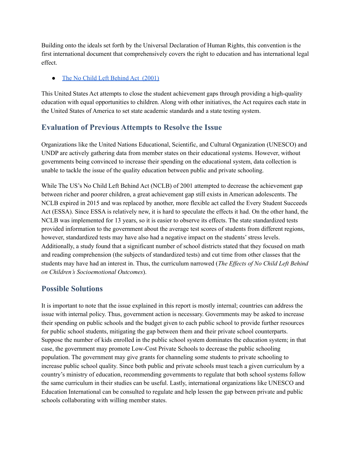Building onto the ideals set forth by the Universal Declaration of Human Rights, this convention is the first international document that comprehensively covers the right to education and has international legal effect.

#### • The No Child Left [Behind](https://www.congress.gov/bill/107th-congress/house-bill/1#:~:text=No%20Child%20Left%20Behind%20Act%20of%202001%20%2D%20Amends%20the%20Elementary,ESEA%20programs%20through%20FY%202007.) Act (2001)

This United States Act attempts to close the student achievement gaps through providing a high-quality education with equal opportunities to children. Along with other initiatives, the Act requires each state in the United States of America to set state academic standards and a state testing system.

# **Evaluation of Previous Attempts to Resolve the Issue**

Organizations like the United Nations Educational, Scientific, and Cultural Organization (UNESCO) and UNDP are actively gathering data from member states on their educational systems. However, without governments being convinced to increase their spending on the educational system, data collection is unable to tackle the issue of the quality education between public and private schooling.

While The US's No Child Left Behind Act (NCLB) of 2001 attempted to decrease the achievement gap between richer and poorer children, a great achievement gap still exists in American adolescents. The NCLB expired in 2015 and was replaced by another, more flexible act called the Every Student Succeeds Act (ESSA). Since ESSA is relatively new, it is hard to speculate the effects it had. On the other hand, the NCLB was implemented for 13 years, so it is easier to observe its effects. The state standardized tests provided information to the government about the average test scores of students from different regions, however, standardized tests may have also had a negative impact on the students' stress levels. Additionally, a study found that a significant number of school districts stated that they focused on math and reading comprehension (the subjects of standardized tests) and cut time from other classes that the students may have had an interest in. Thus, the curriculum narrowed (*The Effects of No Child Left Behind on Children's Socioemotional Outcomes*).

# **Possible Solutions**

It is important to note that the issue explained in this report is mostly internal; countries can address the issue with internal policy. Thus, government action is necessary. Governments may be asked to increase their spending on public schools and the budget given to each public school to provide further resources for public school students, mitigating the gap between them and their private school counterparts. Suppose the number of kids enrolled in the public school system dominates the education system; in that case, the government may promote Low-Cost Private Schools to decrease the public schooling population. The government may give grants for channeling some students to private schooling to increase public school quality. Since both public and private schools must teach a given curriculum by a country's ministry of education, recommending governments to regulate that both school systems follow the same curriculum in their studies can be useful. Lastly, international organizations like UNESCO and Education International can be consulted to regulate and help lessen the gap between private and public schools collaborating with willing member states.